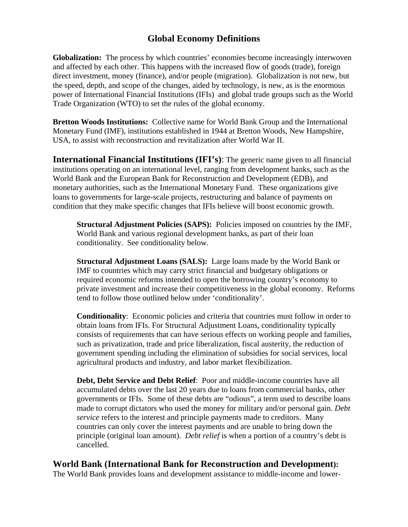## **Global Economy Definitions**

**Globalization:** The process by which countries' economies become increasingly interwoven and affected by each other. This happens with the increased flow of goods (trade), foreign direct investment, money (finance), and/or people (migration). Globalization is not new, but the speed, depth, and scope of the changes, aided by technology, is new, as is the enormous power of International Financial Institutions (IFIs) and global trade groups such as the World Trade Organization (WTO) to set the rules of the global economy.

**Bretton Woods Institutions:** Collective name for World Bank Group and the International Monetary Fund (IMF), institutions established in 1944 at Bretton Woods, New Hampshire, USA, to assist with reconstruction and revitalization after World War II.

**International Financial Institutions (IFI's)**: The generic name given to all financial institutions operating on an international level, ranging from development banks, such as the World Bank and the European Bank for Reconstruction and Development (EDB), and monetary authorities, such as the International Monetary Fund. These organizations give loans to governments for large-scale projects, restructuring and balance of payments on condition that they make specific changes that IFIs believe will boost economic growth.

**Structural Adjustment Policies (SAPS):** Policies imposed on countries by the IMF, World Bank and various regional development banks, as part of their loan conditionality. See conditionality below.

**Structural Adjustment Loans (SALS):** Large loans made by the World Bank or IMF to countries which may carry strict financial and budgetary obligations or required economic reforms intended to open the borrowing country's economy to private investment and increase their competitiveness in the global economy. Reforms tend to follow those outlined below under 'conditionality'.

**Conditionality**: Economic policies and criteria that countries must follow in order to obtain loans from IFIs. For Structural Adjustment Loans, conditionality typically consists of requirements that can have serious effects on working people and families, such as privatization, trade and price liberalization, fiscal austerity, the reduction of government spending including the elimination of subsidies for social services, local agricultural products and industry, and labor market flexibilization.

**Debt, Debt Service and Debt Relief**: Poor and middle-income countries have all accumulated debts over the last 20 years due to loans from commercial banks, other governments or IFIs. Some of these debts are "odious", a term used to describe loans made to corrupt dictators who used the money for military and/or personal gain. *Debt service* refers to the interest and principle payments made to creditors. Many countries can only cover the interest payments and are unable to bring down the principle (original loan amount). *Debt relief* is when a portion of a country's debt is cancelled.

**World Bank (International Bank for Reconstruction and Development):**

The World Bank provides loans and development assistance to middle-income and lower-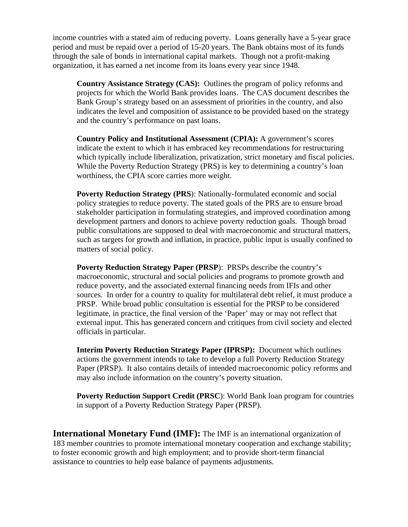income countries with a stated aim of reducing poverty. Loans generally have a 5-year grace period and must be repaid over a period of 15-20 years. The Bank obtains most of its funds through the sale of bonds in international capital markets. Though not a profit-making organization, it has earned a net income from its loans every year since 1948.

**Country Assistance Strategy (CAS):** Outlines the program of policy reforms and projects for which the World Bank provides loans. The CAS document describes the Bank Group's strategy based on an assessment of priorities in the country, and also indicates the level and composition of assistance to be provided based on the strategy and the country's performance on past loans.

**Country Policy and Institutional Assessment (CPIA):** A government's scores indicate the extent to which it has embraced key recommendations for restructuring which typically include liberalization, privatization, strict monetary and fiscal policies. While the Poverty Reduction Strategy (PRS) is key to determining a country's loan worthiness, the CPIA score carries more weight.

**Poverty Reduction Strategy (PRS**): Nationally-formulated economic and social policy strategies to reduce poverty. The stated goals of the PRS are to ensure broad stakeholder participation in formulating strategies, and improved coordination among development partners and donors to achieve poverty reduction goals. Though broad public consultations are supposed to deal with macroeconomic and structural matters, such as targets for growth and inflation, in practice, public input is usually confined to matters of social policy.

**Poverty Reduction Strategy Paper (PRSP**): PRSPs describe the country's macroeconomic, structural and social policies and programs to promote growth and reduce poverty, and the associated external financing needs from IFIs and other sources. In order for a country to quality for multilateral debt relief, it must produce a PRSP. While broad public consultation is essential for the PRSP to be considered legitimate, in practice, the final version of the 'Paper' may or may not reflect that external input. This has generated concern and critiques from civil society and elected officials in particular.

**Interim Poverty Reduction Strategy Paper (IPRSP):** Document which outlines actions the government intends to take to develop a full Poverty Reduction Strategy Paper (PRSP). It also contains details of intended macroeconomic policy reforms and may also include information on the country's poverty situation.

**Poverty Reduction Support Credit (PRSC**): World Bank loan program for countries in support of a Poverty Reduction Strategy Paper (PRSP).

**International Monetary Fund (IMF):** The IMF is an international organization of 183 member countries to promote international monetary cooperation and exchange stability; to foster economic growth and high employment; and to provide short-term financial assistance to countries to help ease balance of payments adjustments.